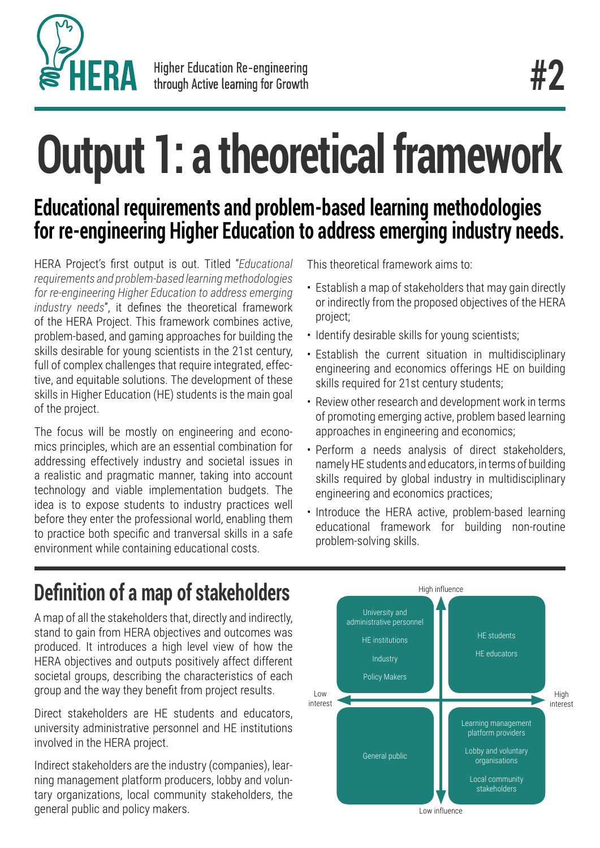

# **Output 1: a theoretical framework**

## **Educational requirements and problem-based learning methodologies for re-engineering Higher Education to address emerging industry needs.**

HERA Project's first output is out. Titled "*Educational requirements and problem-based learning methodologies for re-engineering Higher Education to address emerging industry needs*", it defines the theoretical framework of the HERA Project. This framework combines active, problem-based, and gaming approaches for building the skills desirable for young scientists in the 21st century, full of complex challenges that require integrated, effective, and equitable solutions. The development of these skills in Higher Education (HE) students is the main goal of the project.

The focus will be mostly on engineering and economics principles, which are an essential combination for addressing effectively industry and societal issues in a realistic and pragmatic manner, taking into account technology and viable implementation budgets. The idea is to expose students to industry practices well before they enter the professional world, enabling them to practice both specific and tranversal skills in a safe environment while containing educational costs.

This theoretical framework aims to:

- Establish a map of stakeholders that may gain directly or indirectly from the proposed objectives of the HERA project;
- Identify desirable skills for young scientists;
- Establish the current situation in multidisciplinary engineering and economics offerings HE on building skills required for 21st century students;
- Review other research and development work in terms of promoting emerging active, problem based learning approaches in engineering and economics;
- Perform a needs analysis of direct stakeholders, namely HE students and educators, in terms of building skills required by global industry in multidisciplinary engineering and economics practices;
- Introduce the HERA active, problem-based learning educational framework for building non-routine problem-solving skills.

# **Definition of a map of stakeholders**

A map of all the stakeholders that, directly and indirectly, stand to gain from HERA objectives and outcomes was produced. It introduces a high level view of how the HERA objectives and outputs positively affect different societal groups, describing the characteristics of each group and the way they benefit from project results.

Direct stakeholders are HE students and educators, university administrative personnel and HE institutions involved in the HERA project.

Indirect stakeholders are the industry (companies), learning management platform producers, lobby and voluntary organizations, local community stakeholders, the general public and policy makers.

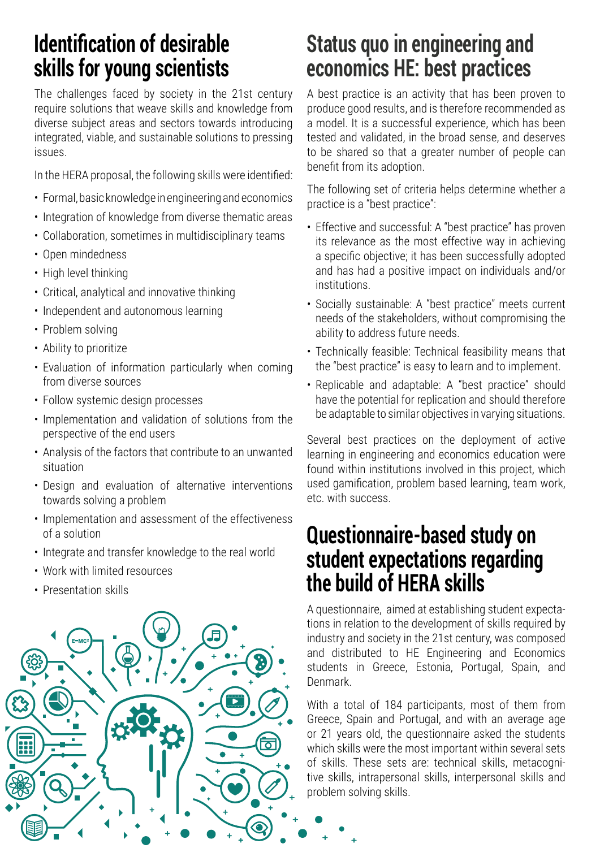## **Identification of desirable skills for young scientists**

The challenges faced by society in the 21st century require solutions that weave skills and knowledge from diverse subject areas and sectors towards introducing integrated, viable, and sustainable solutions to pressing issues.

In the HERA proposal, the following skills were identified:

- Formal, basic knowledge in engineering and economics
- Integration of knowledge from diverse thematic areas
- Collaboration, sometimes in multidisciplinary teams
- Open mindedness
- High level thinking
- Critical, analytical and innovative thinking
- Independent and autonomous learning
- Problem solving
- Ability to prioritize
- Evaluation of information particularly when coming from diverse sources
- Follow systemic design processes
- Implementation and validation of solutions from the perspective of the end users
- Analysis of the factors that contribute to an unwanted situation
- Design and evaluation of alternative interventions towards solving a problem
- Implementation and assessment of the effectiveness of a solution
- Integrate and transfer knowledge to the real world
- Work with limited resources
- Presentation skills



## **Status quo in engineering and economics HE: best practices**

A best practice is an activity that has been proven to produce good results, and is therefore recommended as a model. It is a successful experience, which has been tested and validated, in the broad sense, and deserves to be shared so that a greater number of people can benefit from its adoption.

The following set of criteria helps determine whether a practice is a "best practice":

- Effective and successful: A "best practice" has proven its relevance as the most effective way in achieving a specific objective; it has been successfully adopted and has had a positive impact on individuals and/or institutions.
- Socially sustainable: A "best practice" meets current needs of the stakeholders, without compromising the ability to address future needs.
- Technically feasible: Technical feasibility means that the "best practice" is easy to learn and to implement.
- Replicable and adaptable: A "best practice" should have the potential for replication and should therefore be adaptable to similar objectives in varying situations.

Several best practices on the deployment of active learning in engineering and economics education were found within institutions involved in this project, which used gamification, problem based learning, team work, etc. with success.

### **Questionnaire-based study on student expectations regarding the build of HERA skills**

A questionnaire, aimed at establishing student expectations in relation to the development of skills required by industry and society in the 21st century, was composed and distributed to HE Engineering and Economics students in Greece, Estonia, Portugal, Spain, and Denmark.

With a total of 184 participants, most of them from Greece, Spain and Portugal, and with an average age or 21 years old, the questionnaire asked the students which skills were the most important within several sets of skills. These sets are: technical skills, metacognitive skills, intrapersonal skills, interpersonal skills and problem solving skills.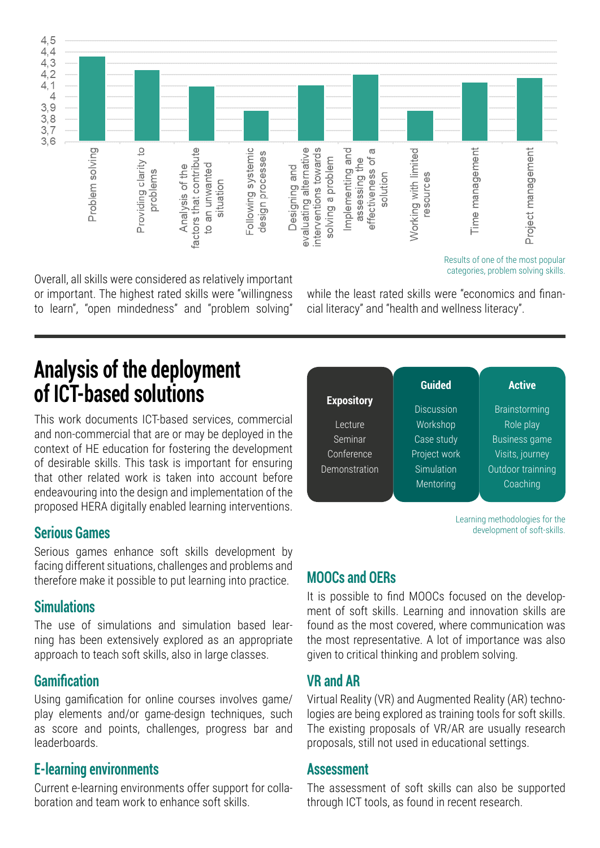

Overall, all skills were considered as relatively important or important. The highest rated skills were "willingness to learn", "open mindedness" and "problem solving"

while the least rated skills were "economics and financial literacy" and "health and wellness literacy".

## **Analysis of the deployment of ICT-based solutions**

This work documents ICT-based services, commercial and non-commercial that are or may be deployed in the context of HE education for fostering the development of desirable skills. This task is important for ensuring that other related work is taken into account before endeavouring into the design and implementation of the proposed HERA digitally enabled learning interventions.

#### **Serious Games**

Serious games enhance soft skills development by facing different situations, challenges and problems and therefore make it possible to put learning into practice.

#### **Simulations**

The use of simulations and simulation based learning has been extensively explored as an appropriate approach to teach soft skills, also in large classes.

#### **Gamification**

Using gamification for online courses involves game/ play elements and/or game-design techniques, such as score and points, challenges, progress bar and leaderboards.

#### **E-learning environments**

Current e-learning environments offer support for collaboration and team work to enhance soft skills.



Learning methodologies for the development of soft-skills.

categories, problem solving skills.

#### **MOOCs and OERs**

It is possible to find MOOCs focused on the development of soft skills. Learning and innovation skills are found as the most covered, where communication was the most representative. A lot of importance was also given to critical thinking and problem solving.

#### **VR and AR**

Virtual Reality (VR) and Augmented Reality (AR) technologies are being explored as training tools for soft skills. The existing proposals of VR/AR are usually research proposals, still not used in educational settings.

#### **Assessment**

The assessment of soft skills can also be supported through ICT tools, as found in recent research.